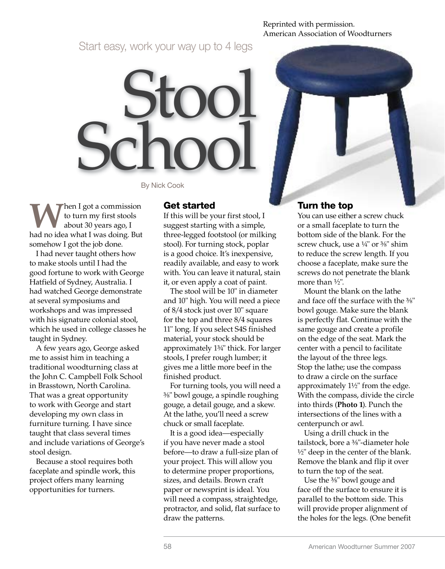Reprinted with permission. American Association of Woodturners

Start easy, work your way up to 4 legs

Stool School

By Nick Cook

**Then I got a commission** to turn my first stools about 30 years ago, I had no idea what I was doing. But somehow I got the job done.

I had never taught others how to make stools until I had the good fortune to work with George Hatfield of Sydney, Australia. I had watched George demonstrate at several symposiums and workshops and was impressed with his signature colonial stool, which he used in college classes he taught in Sydney.

A few years ago, George asked me to assist him in teaching a traditional woodturning class at the John C. Campbell Folk School in Brasstown, North Carolina. That was a great opportunity to work with George and start developing my own class in furniture turning. I have since taught that class several times and include variations of George's stool design.

Because a stool requires both faceplate and spindle work, this project offers many learning opportunities for turners.

#### Get started

If this will be your first stool, I suggest starting with a simple, three-legged footstool (or milking stool). For turning stock, poplar is a good choice. It's inexpensive, readily available, and easy to work with. You can leave it natural, stain it, or even apply a coat of paint.

The stool will be 10" in diameter and 10" high. You will need a piece of 8/4 stock just over 10" square for the top and three 8/4 squares 11" long. If you select S4S finished material, your stock should be approximately 1<sup>3</sup> /4" thick. For larger stools, I prefer rough lumber; it gives me a little more beef in the finished product.

For turning tools, you will need a 3 /8" bowl gouge, a spindle roughing gouge, a detail gouge, and a skew. At the lathe, you'll need a screw chuck or small faceplate.

It is a good idea—especially if you have never made a stool before—to draw a full-size plan of your project. This will allow you to determine proper proportions, sizes, and details. Brown craft paper or newsprint is ideal. You will need a compass, straightedge, protractor, and solid, flat surface to draw the patterns.

### Turn the top

You can use either a screw chuck or a small faceplate to turn the bottom side of the blank. For the screw chuck, use a <sup>1</sup> /4" or <sup>3</sup> /8" shim to reduce the screw length. If you choose a faceplate, make sure the screws do not penetrate the blank more than <sup>1</sup> /2".

Mount the blank on the lathe and face off the surface with the  $\frac{3}{8}$ " bowl gouge. Make sure the blank is perfectly flat. Continue with the same gouge and create a profile on the edge of the seat. Mark the center with a pencil to facilitate the layout of the three legs. Stop the lathe; use the compass to draw a circle on the surface approximately  $1\frac{1}{2}$ " from the edge. With the compass, divide the circle into thirds (**Photo 1**). Punch the intersections of the lines with a centerpunch or awl.

Using a drill chuck in the tailstock, bore a <sup>3</sup> /8"-diameter hole 1 /2" deep in the center of the blank. Remove the blank and flip it over to turn the top of the seat.

Use the <sup>3</sup> /8" bowl gouge and face off the surface to ensure it is parallel to the bottom side. This will provide proper alignment of the holes for the legs. (One benefit

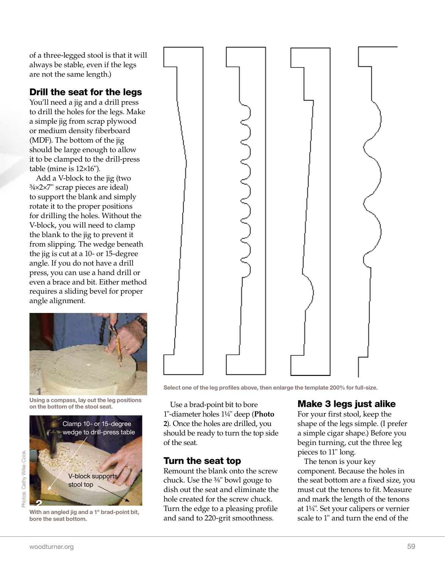of a three-legged stool is that it will always be stable, even if the legs are not the same length.)

# Drill the seat for the legs

You'll need a jig and a drill press to drill the holes for the legs. Make a simple jig from scrap plywood or medium density fiberboard (MDF). The bottom of the jig should be large enough to allow it to be clamped to the drill-press table (mine is 12×16").

Add a V-block to the jig (two ¾×2×7" scrap pieces are ideal) to support the blank and simply rotate it to the proper positions for drilling the holes. Without the V-block, you will need to clamp the blank to the jig to prevent it from slipping. The wedge beneath the jig is cut at a 10- or 15-degree angle. If you do not have a drill press, you can use a hand drill or even a brace and bit. Either method requires a sliding bevel for proper angle alignment.



Using a compass, lay out the leg positions on the bottom of the stool seat.



With an angled jig and a 1" brad-point bit, bore the seat bottom.



Select one of the leg profiles above, then enlarge the template 200% for full-size.

Use a brad-point bit to bore 1"-diameter holes 1<sup>1</sup> /4" deep (**Photo 2**). Once the holes are drilled, you should be ready to turn the top side of the seat.

# Turn the seat top

Remount the blank onto the screw chuck. Use the <sup>3</sup> /8" bowl gouge to dish out the seat and eliminate the hole created for the screw chuck. Turn the edge to a pleasing profile and sand to 220-grit smoothness.

# Make 3 legs just alike

For your first stool, keep the shape of the legs simple. (I prefer a simple cigar shape.) Before you begin turning, cut the three leg pieces to 11" long.

The tenon is your key component. Because the holes in the seat bottom are a fixed size, you must cut the tenons to fit. Measure and mark the length of the tenons at 1<sup>1</sup> /4". Set your calipers or vernier scale to 1" and turn the end of the

Photos: Cathy Wike-Cook

Photos: Cathy Wike-Cook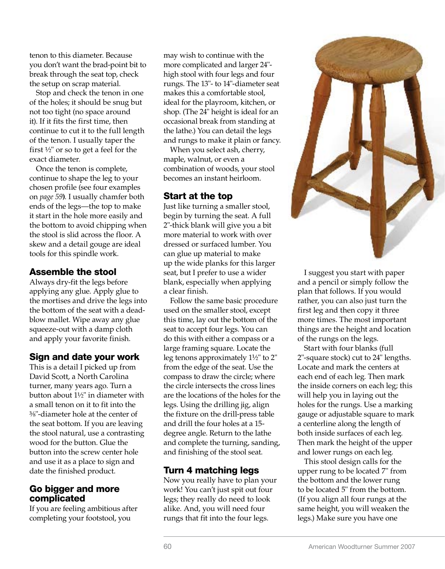tenon to this diameter. Because you don't want the brad-point bit to break through the seat top, check the setup on scrap material.

Stop and check the tenon in one of the holes; it should be snug but not too tight (no space around it). If it fits the first time, then continue to cut it to the full length of the tenon. I usually taper the first  $\frac{1}{2}$ " or so to get a feel for the exact diameter.

Once the tenon is complete, continue to shape the leg to your chosen profile (see four examples on *page 59***)**. I usually chamfer both ends of the legs—the top to make it start in the hole more easily and the bottom to avoid chipping when the stool is slid across the floor. A skew and a detail gouge are ideal tools for this spindle work.

### Assemble the stool

Always dry-fit the legs before applying any glue. Apply glue to the mortises and drive the legs into the bottom of the seat with a deadblow mallet. Wipe away any glue squeeze-out with a damp cloth and apply your favorite finish.

### Sign and date your work

This is a detail I picked up from David Scott, a North Carolina turner, many years ago. Turn a button about 1<sup>1</sup> /2" in diameter with a small tenon on it to fit into the 3 /8"-diameter hole at the center of the seat bottom. If you are leaving the stool natural, use a contrasting wood for the button. Glue the button into the screw center hole and use it as a place to sign and date the finished product.

### Go bigger and more complicated

If you are feeling ambitious after completing your footstool, you

may wish to continue with the more complicated and larger 24" high stool with four legs and four rungs. The 13"- to 14"-diameter seat makes this a comfortable stool, ideal for the playroom, kitchen, or shop. (The 24" height is ideal for an occasional break from standing at the lathe.) You can detail the legs and rungs to make it plain or fancy.

When you select ash, cherry, maple, walnut, or even a combination of woods, your stool becomes an instant heirloom.

### Start at the top

Just like turning a smaller stool, begin by turning the seat. A full 2"-thick blank will give you a bit more material to work with over dressed or surfaced lumber. You can glue up material to make up the wide planks for this larger seat, but I prefer to use a wider blank, especially when applying a clear finish.

Follow the same basic procedure used on the smaller stool, except this time, lay out the bottom of the seat to accept four legs. You can do this with either a compass or a large framing square. Locate the leg tenons approximately 1½" to 2" from the edge of the seat. Use the compass to draw the circle; where the circle intersects the cross lines are the locations of the holes for the legs. Using the drilling jig, align the fixture on the drill-press table and drill the four holes at a 15 degree angle. Return to the lathe and complete the turning, sanding, and finishing of the stool seat.

# Turn 4 matching legs

Now you really have to plan your work! You can't just spit out four legs; they really do need to look alike. And, you will need four rungs that fit into the four legs.



I suggest you start with paper and a pencil or simply follow the plan that follows. If you would rather, you can also just turn the first leg and then copy it three more times. The most important things are the height and location of the rungs on the legs.

Start with four blanks (full 2"-square stock) cut to 24" lengths. Locate and mark the centers at each end of each leg. Then mark the inside corners on each leg; this will help you in laying out the holes for the rungs. Use a marking gauge or adjustable square to mark a centerline along the length of both inside surfaces of each leg. Then mark the height of the upper and lower rungs on each leg.

This stool design calls for the upper rung to be located 7" from the bottom and the lower rung to be located 5" from the bottom. (If you align all four rungs at the same height, you will weaken the legs.) Make sure you have one